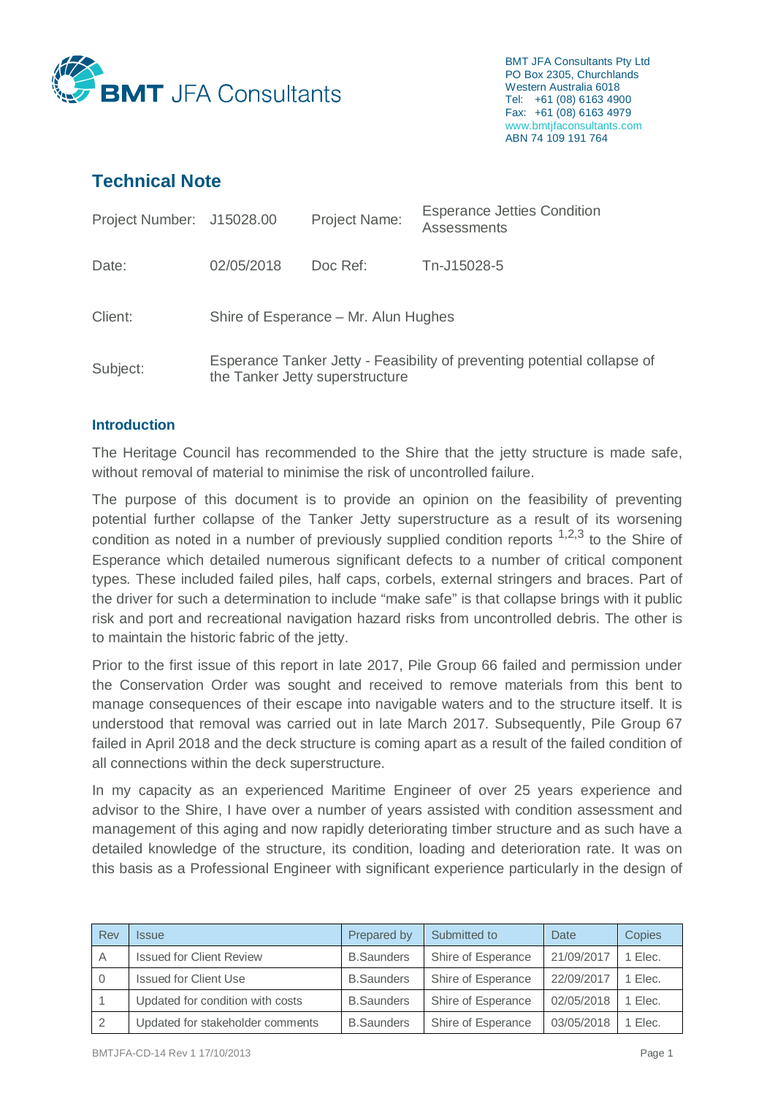

BMT JFA Consultants Pty Ltd PO Box 2305, Churchlands Western Australia 6018 Tel: +61 (08) 6163 4900 Fax: +61 (08) 6163 4979 www.bmtjfaconsultants.com ABN 74 109 191 764

# **Technical Note**

| Project Number: J15028.00 |                                                                                                             | Project Name: | <b>Esperance Jetties Condition</b><br><b>Assessments</b> |  |  |
|---------------------------|-------------------------------------------------------------------------------------------------------------|---------------|----------------------------------------------------------|--|--|
| Date:                     | 02/05/2018                                                                                                  | Doc Ref:      | Tn-J15028-5                                              |  |  |
| Client:                   | Shire of Esperance – Mr. Alun Hughes                                                                        |               |                                                          |  |  |
| Subject:                  | Esperance Tanker Jetty - Feasibility of preventing potential collapse of<br>the Tanker Jetty superstructure |               |                                                          |  |  |

#### **Introduction**

The Heritage Council has recommended to the Shire that the jetty structure is made safe, without removal of material to minimise the risk of uncontrolled failure.

The purpose of this document is to provide an opinion on the feasibility of preventing potential further collapse of the Tanker Jetty superstructure as a result of its worsening condition as noted in a number of previously supplied condition reports  $1,2,3$  to the Shire of Esperance which detailed numerous significant defects to a number of critical component types. These included failed piles, half caps, corbels, external stringers and braces. Part of the driver for such a determination to include "make safe" is that collapse brings with it public risk and port and recreational navigation hazard risks from uncontrolled debris. The other is to maintain the historic fabric of the jetty.

Prior to the first issue of this report in late 2017, Pile Group 66 failed and permission under the Conservation Order was sought and received to remove materials from this bent to manage consequences of their escape into navigable waters and to the structure itself. It is understood that removal was carried out in late March 2017. Subsequently, Pile Group 67 failed in April 2018 and the deck structure is coming apart as a result of the failed condition of all connections within the deck superstructure.

In my capacity as an experienced Maritime Engineer of over 25 years experience and advisor to the Shire, I have over a number of years assisted with condition assessment and management of this aging and now rapidly deteriorating timber structure and as such have a detailed knowledge of the structure, its condition, loading and deterioration rate. It was on this basis as a Professional Engineer with significant experience particularly in the design of

| Rev      | <i><b>Issue</b></i>              | Prepared by       | Submitted to       | Date       | Copies  |
|----------|----------------------------------|-------------------|--------------------|------------|---------|
| А        | <b>Issued for Client Review</b>  | <b>B.Saunders</b> | Shire of Esperance | 21/09/2017 | 1 Elec. |
| $\Omega$ | <b>Issued for Client Use</b>     | <b>B.Saunders</b> | Shire of Esperance | 22/09/2017 | 1 Elec. |
|          | Updated for condition with costs | <b>B.Saunders</b> | Shire of Esperance | 02/05/2018 | 1 Elec. |
|          | Updated for stakeholder comments | <b>B.Saunders</b> | Shire of Esperance | 03/05/2018 | 1 Elec. |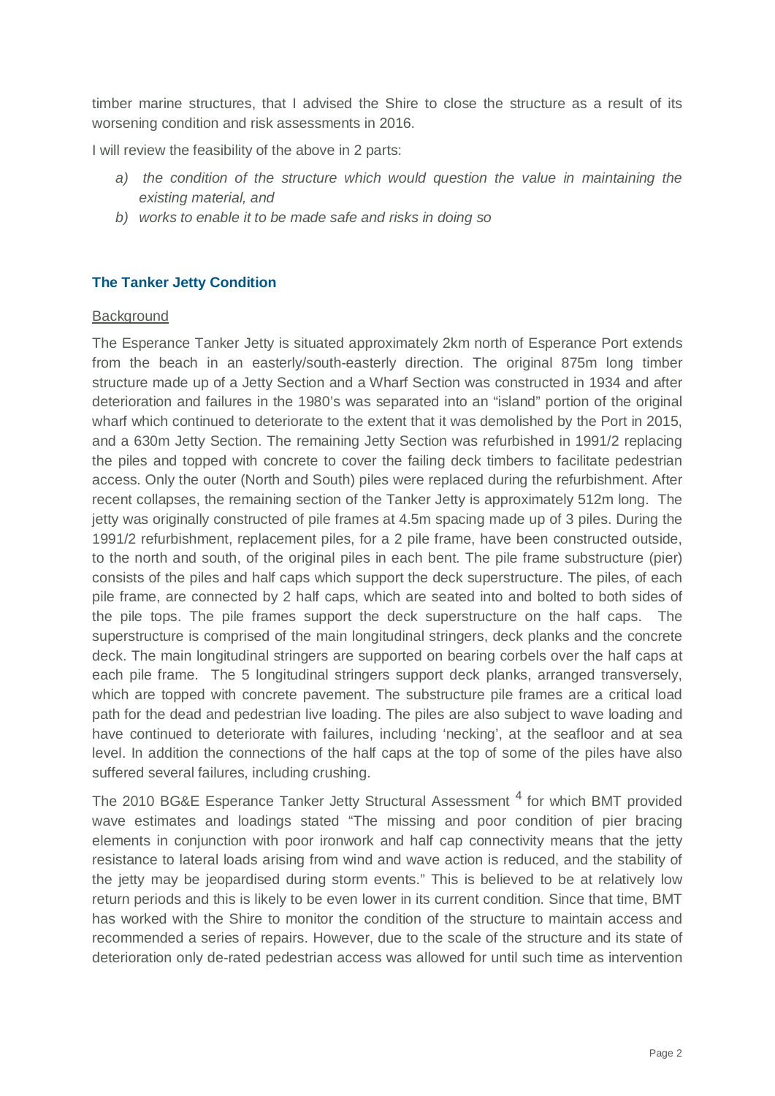timber marine structures, that I advised the Shire to close the structure as a result of its worsening condition and risk assessments in 2016.

I will review the feasibility of the above in 2 parts:

- a) the condition of the structure which would question the value in maintaining the *existing material, and*
- *b) works to enable it to be made safe and risks in doing so*

# **The Tanker Jetty Condition**

#### **Background**

The Esperance Tanker Jetty is situated approximately 2km north of Esperance Port extends from the beach in an easterly/south-easterly direction. The original 875m long timber structure made up of a Jetty Section and a Wharf Section was constructed in 1934 and after deterioration and failures in the 1980's was separated into an "island" portion of the original wharf which continued to deteriorate to the extent that it was demolished by the Port in 2015, and a 630m Jetty Section. The remaining Jetty Section was refurbished in 1991/2 replacing the piles and topped with concrete to cover the failing deck timbers to facilitate pedestrian access. Only the outer (North and South) piles were replaced during the refurbishment. After recent collapses, the remaining section of the Tanker Jetty is approximately 512m long. The jetty was originally constructed of pile frames at 4.5m spacing made up of 3 piles. During the 1991/2 refurbishment, replacement piles, for a 2 pile frame, have been constructed outside, to the north and south, of the original piles in each bent. The pile frame substructure (pier) consists of the piles and half caps which support the deck superstructure. The piles, of each pile frame, are connected by 2 half caps, which are seated into and bolted to both sides of the pile tops. The pile frames support the deck superstructure on the half caps. The superstructure is comprised of the main longitudinal stringers, deck planks and the concrete deck. The main longitudinal stringers are supported on bearing corbels over the half caps at each pile frame. The 5 longitudinal stringers support deck planks, arranged transversely, which are topped with concrete pavement. The substructure pile frames are a critical load path for the dead and pedestrian live loading. The piles are also subject to wave loading and have continued to deteriorate with failures, including 'necking', at the seafloor and at sea level. In addition the connections of the half caps at the top of some of the piles have also suffered several failures, including crushing.

The 2010 BG&E Esperance Tanker Jetty Structural Assessment <sup>4</sup> for which BMT provided wave estimates and loadings stated "The missing and poor condition of pier bracing elements in conjunction with poor ironwork and half cap connectivity means that the jetty resistance to lateral loads arising from wind and wave action is reduced, and the stability of the jetty may be jeopardised during storm events." This is believed to be at relatively low return periods and this is likely to be even lower in its current condition. Since that time, BMT has worked with the Shire to monitor the condition of the structure to maintain access and recommended a series of repairs. However, due to the scale of the structure and its state of deterioration only de-rated pedestrian access was allowed for until such time as intervention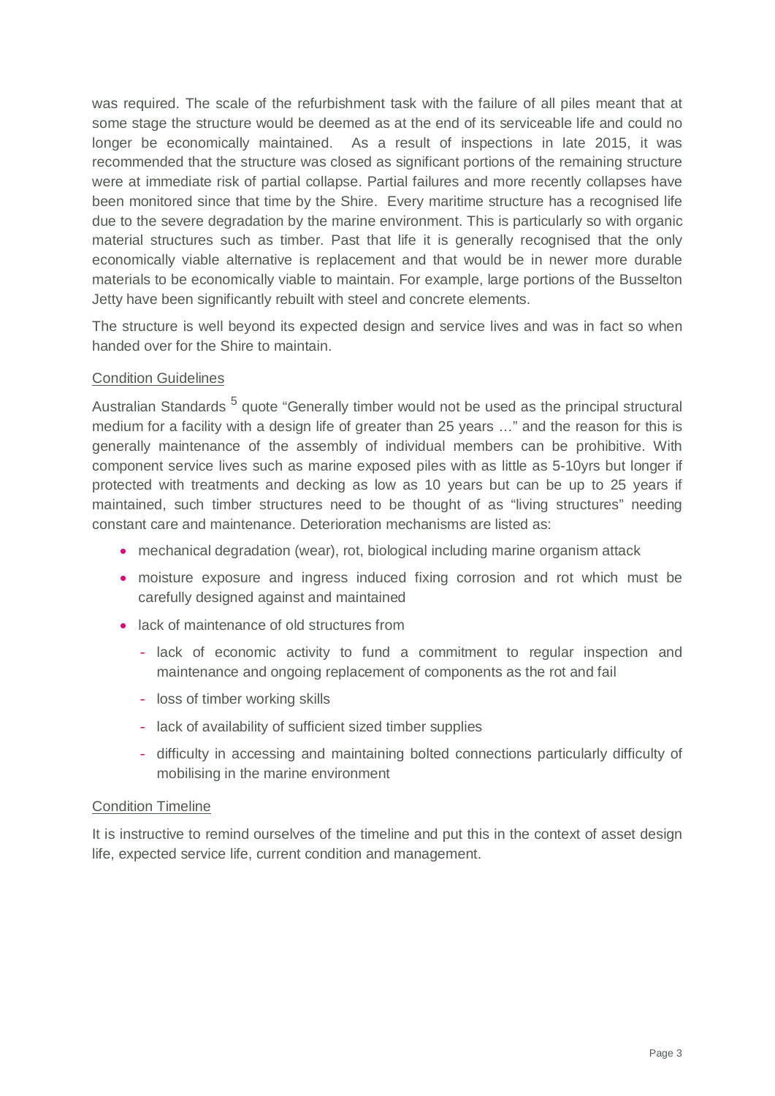was required. The scale of the refurbishment task with the failure of all piles meant that at some stage the structure would be deemed as at the end of its serviceable life and could no longer be economically maintained. As a result of inspections in late 2015, it was recommended that the structure was closed as significant portions of the remaining structure were at immediate risk of partial collapse. Partial failures and more recently collapses have been monitored since that time by the Shire. Every maritime structure has a recognised life due to the severe degradation by the marine environment. This is particularly so with organic material structures such as timber. Past that life it is generally recognised that the only economically viable alternative is replacement and that would be in newer more durable materials to be economically viable to maintain. For example, large portions of the Busselton Jetty have been significantly rebuilt with steel and concrete elements.

The structure is well beyond its expected design and service lives and was in fact so when handed over for the Shire to maintain.

#### Condition Guidelines

Australian Standards <sup>5</sup> quote "Generally timber would not be used as the principal structural medium for a facility with a design life of greater than 25 years ..." and the reason for this is generally maintenance of the assembly of individual members can be prohibitive. With component service lives such as marine exposed piles with as little as 5-10yrs but longer if protected with treatments and decking as low as 10 years but can be up to 25 years if maintained, such timber structures need to be thought of as "living structures" needing constant care and maintenance. Deterioration mechanisms are listed as:

- mechanical degradation (wear), rot, biological including marine organism attack
- moisture exposure and ingress induced fixing corrosion and rot which must be carefully designed against and maintained
- lack of maintenance of old structures from
	- lack of economic activity to fund a commitment to regular inspection and maintenance and ongoing replacement of components as the rot and fail
	- loss of timber working skills
	- lack of availability of sufficient sized timber supplies
	- difficulty in accessing and maintaining bolted connections particularly difficulty of mobilising in the marine environment

#### Condition Timeline

It is instructive to remind ourselves of the timeline and put this in the context of asset design life, expected service life, current condition and management.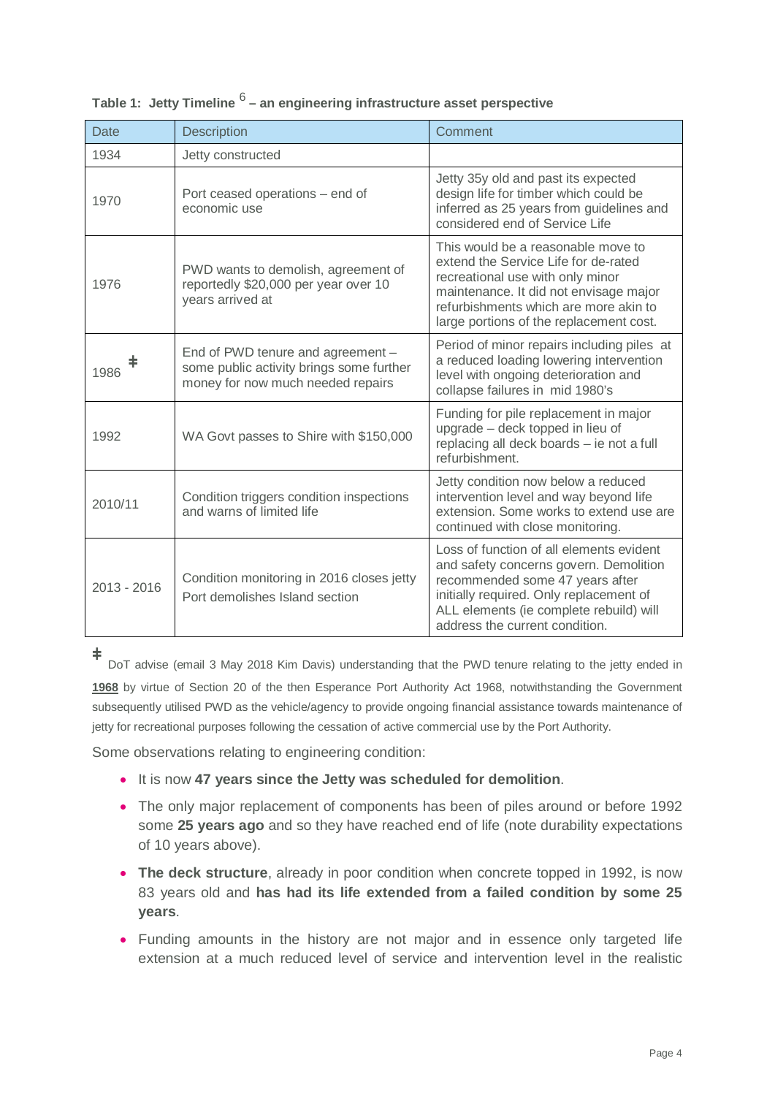| Date                                                                                         | Description                                                                                                        | Comment                                                                                                                                                                                                                                       |  |
|----------------------------------------------------------------------------------------------|--------------------------------------------------------------------------------------------------------------------|-----------------------------------------------------------------------------------------------------------------------------------------------------------------------------------------------------------------------------------------------|--|
| 1934                                                                                         | Jetty constructed                                                                                                  |                                                                                                                                                                                                                                               |  |
| 1970                                                                                         | Port ceased operations – end of<br>economic use                                                                    | Jetty 35y old and past its expected<br>design life for timber which could be<br>inferred as 25 years from guidelines and<br>considered end of Service Life                                                                                    |  |
| 1976                                                                                         | PWD wants to demolish, agreement of<br>reportedly \$20,000 per year over 10<br>years arrived at                    | This would be a reasonable move to<br>extend the Service Life for de-rated<br>recreational use with only minor<br>maintenance. It did not envisage major<br>refurbishments which are more akin to<br>large portions of the replacement cost.  |  |
| 1986                                                                                         | End of PWD tenure and agreement -<br>some public activity brings some further<br>money for now much needed repairs | Period of minor repairs including piles at<br>a reduced loading lowering intervention<br>level with ongoing deterioration and<br>collapse failures in mid 1980's                                                                              |  |
| 1992                                                                                         | WA Govt passes to Shire with \$150,000                                                                             | Funding for pile replacement in major<br>upgrade - deck topped in lieu of<br>replacing all deck boards - ie not a full<br>refurbishment.                                                                                                      |  |
| 2010/11                                                                                      | Condition triggers condition inspections<br>and warns of limited life                                              | Jetty condition now below a reduced<br>intervention level and way beyond life<br>extension. Some works to extend use are<br>continued with close monitoring.                                                                                  |  |
| Condition monitoring in 2016 closes jetty<br>$2013 - 2016$<br>Port demolishes Island section |                                                                                                                    | Loss of function of all elements evident<br>and safety concerns govern. Demolition<br>recommended some 47 years after<br>initially required. Only replacement of<br>ALL elements (ie complete rebuild) will<br>address the current condition. |  |

# **Table 1: Jetty Timeline** <sup>6</sup> **– an engineering infrastructure asset perspective**

**ۆ**

DoT advise (email 3 May 2018 Kim Davis) understanding that the PWD tenure relating to the jetty ended in **1968** by virtue of Section 20 of the then Esperance Port Authority Act 1968, notwithstanding the Government subsequently utilised PWD as the vehicle/agency to provide ongoing financial assistance towards maintenance of jetty for recreational purposes following the cessation of active commercial use by the Port Authority.

Some observations relating to engineering condition:

- **•** It is now 47 years since the Jetty was scheduled for demolition.
- The only major replacement of components has been of piles around or before 1992 some **25 years ago** and so they have reached end of life (note durability expectations of 10 years above).
- The deck structure, already in poor condition when concrete topped in 1992, is now 83 years old and **has had its life extended from a failed condition by some 25 years**.
- Funding amounts in the history are not major and in essence only targeted life extension at a much reduced level of service and intervention level in the realistic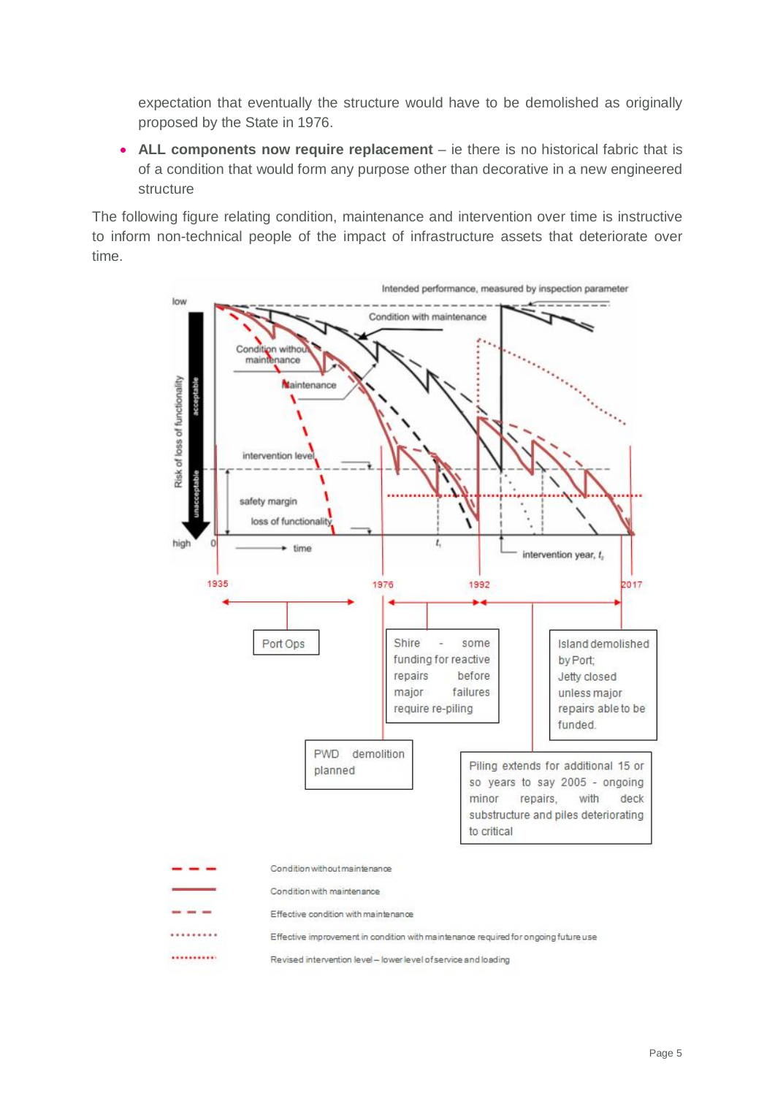expectation that eventually the structure would have to be demolished as originally proposed by the State in 1976.

• ALL components now require replacement – ie there is no historical fabric that is of a condition that would form any purpose other than decorative in a new engineered structure

The following figure relating condition, maintenance and intervention over time is instructive to inform non-technical people of the impact of infrastructure assets that deteriorate over time.

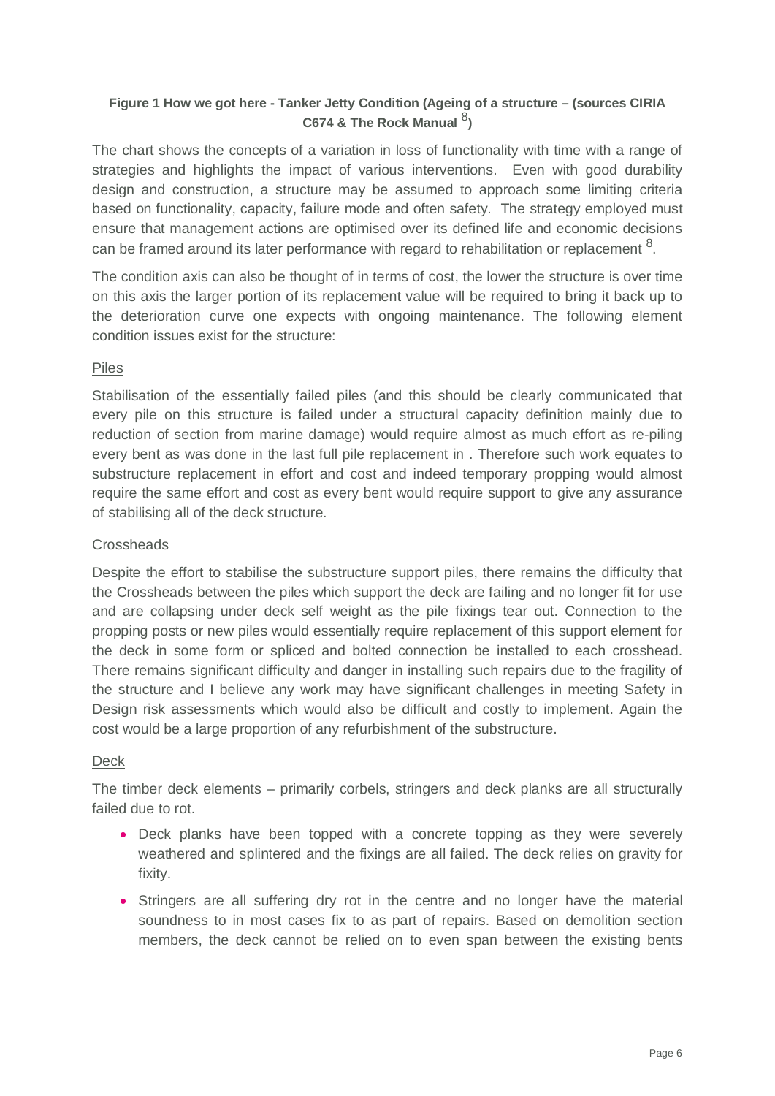# **Figure 1 How we got here - Tanker Jetty Condition (Ageing of a structure – (sources CIRIA**  C674 & The Rock Manual <sup>8</sup>)

The chart shows the concepts of a variation in loss of functionality with time with a range of strategies and highlights the impact of various interventions. Even with good durability design and construction, a structure may be assumed to approach some limiting criteria based on functionality, capacity, failure mode and often safety. The strategy employed must ensure that management actions are optimised over its defined life and economic decisions can be framed around its later performance with regard to rehabilitation or replacement  $^8$ .

The condition axis can also be thought of in terms of cost, the lower the structure is over time on this axis the larger portion of its replacement value will be required to bring it back up to the deterioration curve one expects with ongoing maintenance. The following element condition issues exist for the structure:

# Piles

Stabilisation of the essentially failed piles (and this should be clearly communicated that every pile on this structure is failed under a structural capacity definition mainly due to reduction of section from marine damage) would require almost as much effort as re-piling every bent as was done in the last full pile replacement in . Therefore such work equates to substructure replacement in effort and cost and indeed temporary propping would almost require the same effort and cost as every bent would require support to give any assurance of stabilising all of the deck structure.

# **Crossheads**

Despite the effort to stabilise the substructure support piles, there remains the difficulty that the Crossheads between the piles which support the deck are failing and no longer fit for use and are collapsing under deck self weight as the pile fixings tear out. Connection to the propping posts or new piles would essentially require replacement of this support element for the deck in some form or spliced and bolted connection be installed to each crosshead. There remains significant difficulty and danger in installing such repairs due to the fragility of the structure and I believe any work may have significant challenges in meeting Safety in Design risk assessments which would also be difficult and costly to implement. Again the cost would be a large proportion of any refurbishment of the substructure.

# Deck

The timber deck elements – primarily corbels, stringers and deck planks are all structurally failed due to rot.

- Deck planks have been topped with a concrete topping as they were severely weathered and splintered and the fixings are all failed. The deck relies on gravity for fixity.
- Stringers are all suffering dry rot in the centre and no longer have the material soundness to in most cases fix to as part of repairs. Based on demolition section members, the deck cannot be relied on to even span between the existing bents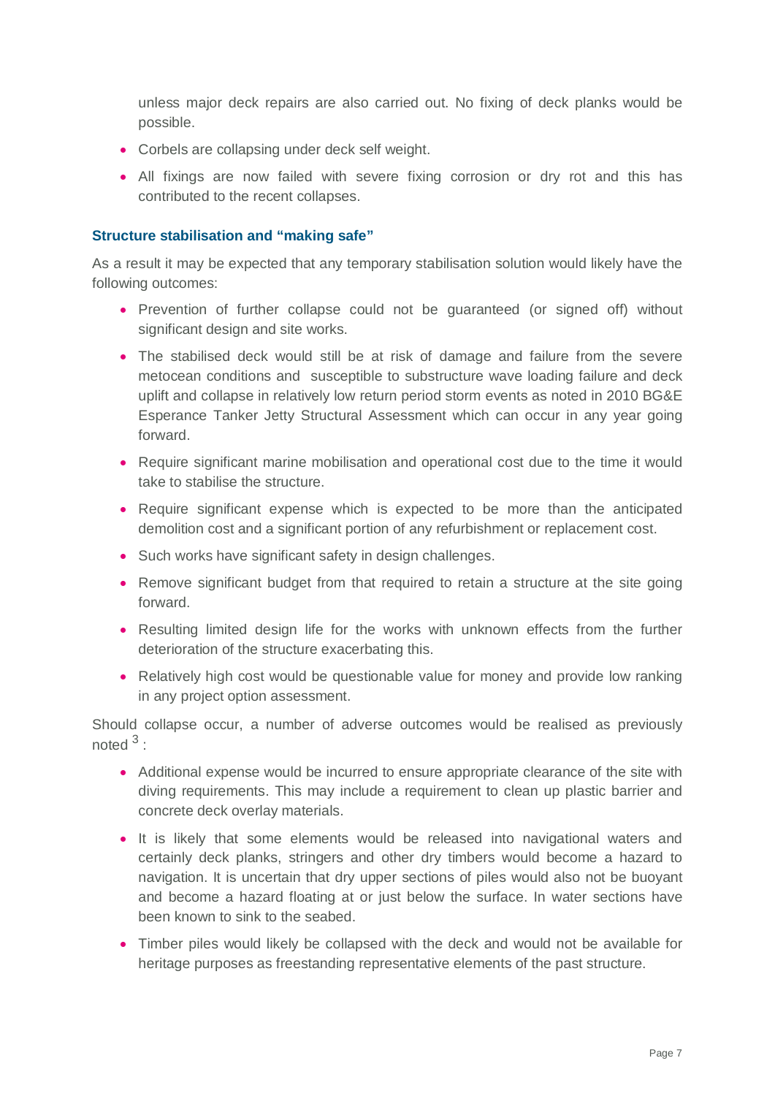unless major deck repairs are also carried out. No fixing of deck planks would be possible.

- Corbels are collapsing under deck self weight.
- All fixings are now failed with severe fixing corrosion or dry rot and this has contributed to the recent collapses.

#### **Structure stabilisation and "making safe"**

As a result it may be expected that any temporary stabilisation solution would likely have the following outcomes:

- Prevention of further collapse could not be guaranteed (or signed off) without significant design and site works.
- The stabilised deck would still be at risk of damage and failure from the severe metocean conditions and susceptible to substructure wave loading failure and deck uplift and collapse in relatively low return period storm events as noted in 2010 BG&E Esperance Tanker Jetty Structural Assessment which can occur in any year going forward.
- Require significant marine mobilisation and operational cost due to the time it would take to stabilise the structure.
- Require significant expense which is expected to be more than the anticipated demolition cost and a significant portion of any refurbishment or replacement cost.
- Such works have significant safety in design challenges.
- Remove significant budget from that required to retain a structure at the site going forward.
- Resulting limited design life for the works with unknown effects from the further deterioration of the structure exacerbating this.
- Relatively high cost would be questionable value for money and provide low ranking in any project option assessment.

Should collapse occur, a number of adverse outcomes would be realised as previously noted  $3$  :

- Additional expense would be incurred to ensure appropriate clearance of the site with diving requirements. This may include a requirement to clean up plastic barrier and concrete deck overlay materials.
- It is likely that some elements would be released into navigational waters and certainly deck planks, stringers and other dry timbers would become a hazard to navigation. It is uncertain that dry upper sections of piles would also not be buoyant and become a hazard floating at or just below the surface. In water sections have been known to sink to the seabed.
- Timber piles would likely be collapsed with the deck and would not be available for heritage purposes as freestanding representative elements of the past structure.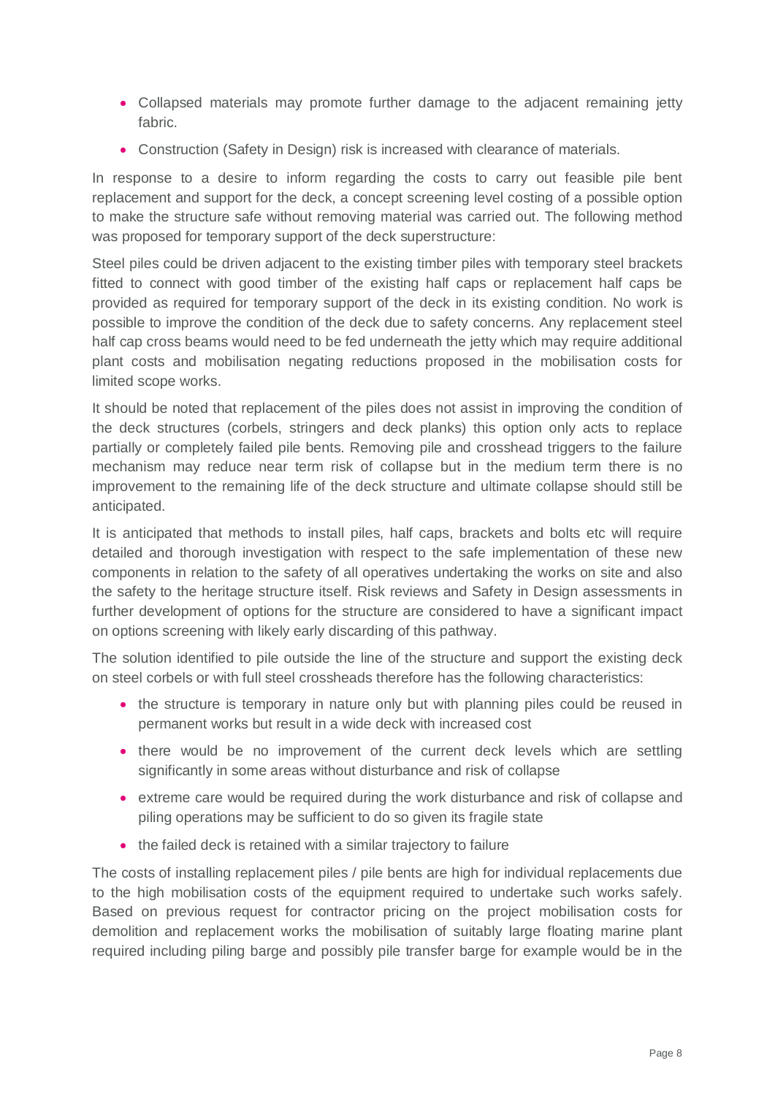- Collapsed materials may promote further damage to the adiacent remaining jetty fabric.
- Construction (Safety in Design) risk is increased with clearance of materials.

In response to a desire to inform regarding the costs to carry out feasible pile bent replacement and support for the deck, a concept screening level costing of a possible option to make the structure safe without removing material was carried out. The following method was proposed for temporary support of the deck superstructure:

Steel piles could be driven adjacent to the existing timber piles with temporary steel brackets fitted to connect with good timber of the existing half caps or replacement half caps be provided as required for temporary support of the deck in its existing condition. No work is possible to improve the condition of the deck due to safety concerns. Any replacement steel half cap cross beams would need to be fed underneath the jetty which may require additional plant costs and mobilisation negating reductions proposed in the mobilisation costs for limited scope works.

It should be noted that replacement of the piles does not assist in improving the condition of the deck structures (corbels, stringers and deck planks) this option only acts to replace partially or completely failed pile bents. Removing pile and crosshead triggers to the failure mechanism may reduce near term risk of collapse but in the medium term there is no improvement to the remaining life of the deck structure and ultimate collapse should still be anticipated.

It is anticipated that methods to install piles, half caps, brackets and bolts etc will require detailed and thorough investigation with respect to the safe implementation of these new components in relation to the safety of all operatives undertaking the works on site and also the safety to the heritage structure itself. Risk reviews and Safety in Design assessments in further development of options for the structure are considered to have a significant impact on options screening with likely early discarding of this pathway.

The solution identified to pile outside the line of the structure and support the existing deck on steel corbels or with full steel crossheads therefore has the following characteristics:

- the structure is temporary in nature only but with planning piles could be reused in permanent works but result in a wide deck with increased cost
- there would be no improvement of the current deck levels which are settling significantly in some areas without disturbance and risk of collapse
- extreme care would be required during the work disturbance and risk of collapse and piling operations may be sufficient to do so given its fragile state
- the failed deck is retained with a similar trajectory to failure

The costs of installing replacement piles / pile bents are high for individual replacements due to the high mobilisation costs of the equipment required to undertake such works safely. Based on previous request for contractor pricing on the project mobilisation costs for demolition and replacement works the mobilisation of suitably large floating marine plant required including piling barge and possibly pile transfer barge for example would be in the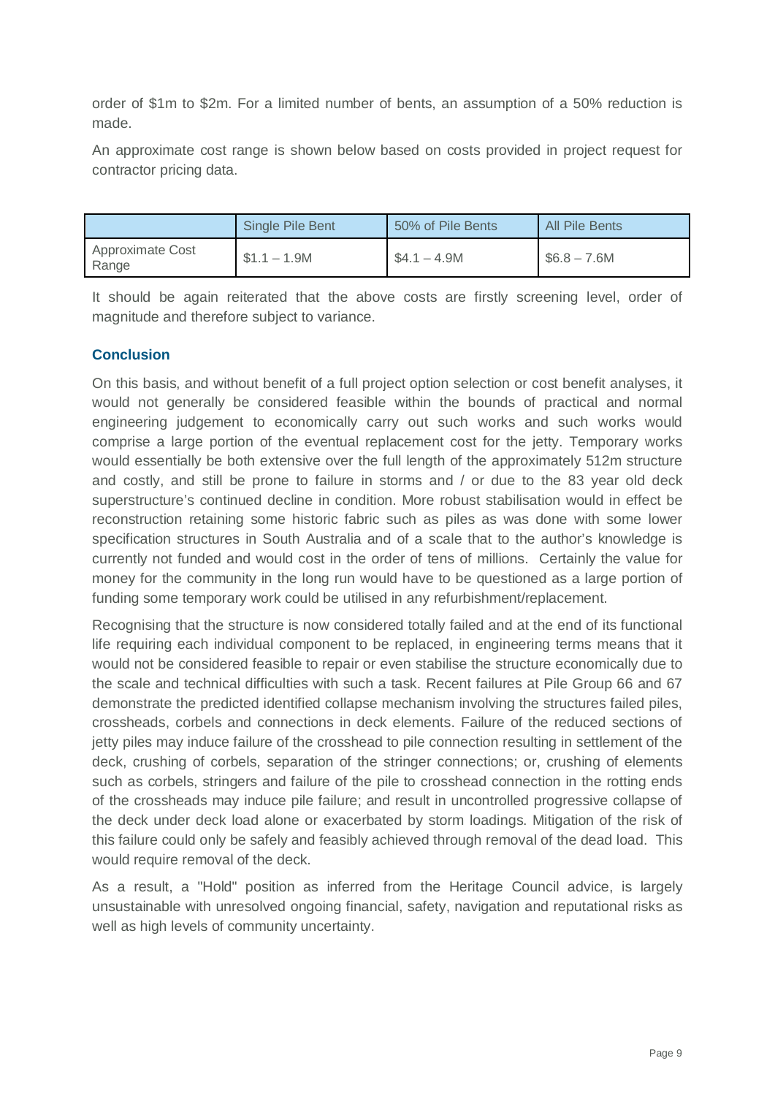order of \$1m to \$2m. For a limited number of bents, an assumption of a 50% reduction is made.

An approximate cost range is shown below based on costs provided in project request for contractor pricing data.

|                           | Single Pile Bent | 50% of Pile Bents | All Pile Bents |
|---------------------------|------------------|-------------------|----------------|
| Approximate Cost<br>Range | $$1.1 - 1.9M$    | $$4.1 - 4.9M$     | $$6.8 - 7.6M$  |

It should be again reiterated that the above costs are firstly screening level, order of magnitude and therefore subject to variance.

#### **Conclusion**

On this basis, and without benefit of a full project option selection or cost benefit analyses, it would not generally be considered feasible within the bounds of practical and normal engineering judgement to economically carry out such works and such works would comprise a large portion of the eventual replacement cost for the jetty. Temporary works would essentially be both extensive over the full length of the approximately 512m structure and costly, and still be prone to failure in storms and / or due to the 83 year old deck superstructure's continued decline in condition. More robust stabilisation would in effect be reconstruction retaining some historic fabric such as piles as was done with some lower specification structures in South Australia and of a scale that to the author's knowledge is currently not funded and would cost in the order of tens of millions. Certainly the value for money for the community in the long run would have to be questioned as a large portion of funding some temporary work could be utilised in any refurbishment/replacement.

Recognising that the structure is now considered totally failed and at the end of its functional life requiring each individual component to be replaced, in engineering terms means that it would not be considered feasible to repair or even stabilise the structure economically due to the scale and technical difficulties with such a task. Recent failures at Pile Group 66 and 67 demonstrate the predicted identified collapse mechanism involving the structures failed piles, crossheads, corbels and connections in deck elements. Failure of the reduced sections of jetty piles may induce failure of the crosshead to pile connection resulting in settlement of the deck, crushing of corbels, separation of the stringer connections; or, crushing of elements such as corbels, stringers and failure of the pile to crosshead connection in the rotting ends of the crossheads may induce pile failure; and result in uncontrolled progressive collapse of the deck under deck load alone or exacerbated by storm loadings. Mitigation of the risk of this failure could only be safely and feasibly achieved through removal of the dead load. This would require removal of the deck.

As a result, a "Hold" position as inferred from the Heritage Council advice, is largely unsustainable with unresolved ongoing financial, safety, navigation and reputational risks as well as high levels of community uncertainty.